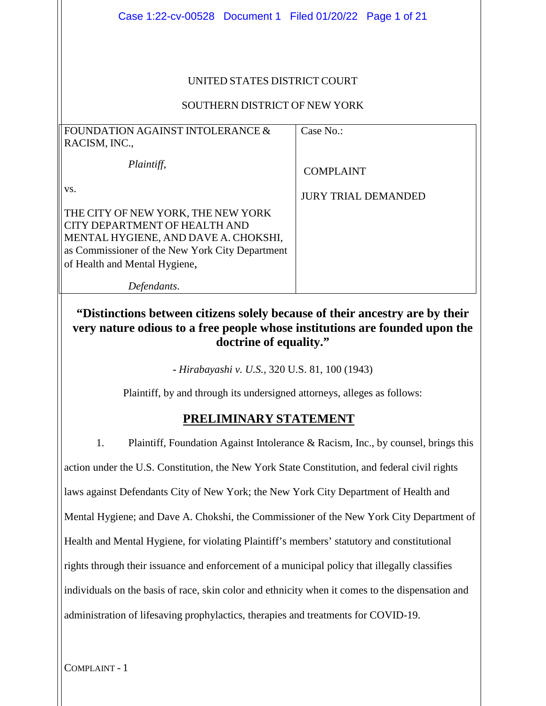| Case 1:22-cv-00528 Document 1 Filed 01/20/22 Page 1 of 21                                                                                                                                       |                            |  |
|-------------------------------------------------------------------------------------------------------------------------------------------------------------------------------------------------|----------------------------|--|
| UNITED STATES DISTRICT COURT<br>SOUTHERN DISTRICT OF NEW YORK                                                                                                                                   |                            |  |
| FOUNDATION AGAINST INTOLERANCE &                                                                                                                                                                | Case No.:                  |  |
| RACISM, INC.,<br>Plaintiff,                                                                                                                                                                     | <b>COMPLAINT</b>           |  |
| VS.                                                                                                                                                                                             | <b>JURY TRIAL DEMANDED</b> |  |
| THE CITY OF NEW YORK, THE NEW YORK<br>CITY DEPARTMENT OF HEALTH AND<br>MENTAL HYGIENE, AND DAVE A. CHOKSHI,<br>as Commissioner of the New York City Department<br>of Health and Mental Hygiene, |                            |  |
| Defendants.                                                                                                                                                                                     |                            |  |
| "Distinctions between citizens solely because of their ancestry are by their<br>very nature odious to a free people whose institutions are founded upon the<br>doctrine of equality."           |                            |  |
| - Hirabayashi v. U.S., 320 U.S. 81, 100 (1943)                                                                                                                                                  |                            |  |

Plaintiff, by and through its undersigned attorneys, alleges as follows:

## **PRELIMINARY STATEMENT**

1. Plaintiff, Foundation Against Intolerance & Racism, Inc., by counsel, brings this action under the U.S. Constitution, the New York State Constitution, and federal civil rights laws against Defendants City of New York; the New York City Department of Health and Mental Hygiene; and Dave A. Chokshi, the Commissioner of the New York City Department of Health and Mental Hygiene, for violating Plaintiff's members' statutory and constitutional rights through their issuance and enforcement of a municipal policy that illegally classifies individuals on the basis of race, skin color and ethnicity when it comes to the dispensation and administration of lifesaving prophylactics, therapies and treatments for COVID-19.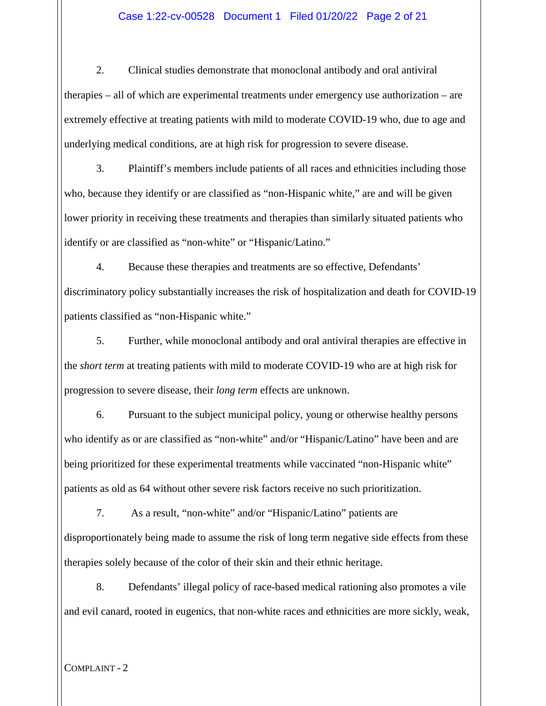#### Case 1:22-cv-00528 Document 1 Filed 01/20/22 Page 2 of 21

2. Clinical studies demonstrate that monoclonal antibody and oral antiviral therapies – all of which are experimental treatments under emergency use authorization – are extremely effective at treating patients with mild to moderate COVID-19 who, due to age and underlying medical conditions, are at high risk for progression to severe disease.

3. Plaintiff's members include patients of all races and ethnicities including those who, because they identify or are classified as "non-Hispanic white," are and will be given lower priority in receiving these treatments and therapies than similarly situated patients who identify or are classified as "non-white" or "Hispanic/Latino."

4. Because these therapies and treatments are so effective, Defendants' discriminatory policy substantially increases the risk of hospitalization and death for COVID-19 patients classified as "non-Hispanic white."

5. Further, while monoclonal antibody and oral antiviral therapies are effective in the *short term* at treating patients with mild to moderate COVID-19 who are at high risk for progression to severe disease, their *long term* effects are unknown.

6. Pursuant to the subject municipal policy, young or otherwise healthy persons who identify as or are classified as "non-white" and/or "Hispanic/Latino" have been and are being prioritized for these experimental treatments while vaccinated "non-Hispanic white" patients as old as 64 without other severe risk factors receive no such prioritization.

7. As a result, "non-white" and/or "Hispanic/Latino" patients are disproportionately being made to assume the risk of long term negative side effects from these therapies solely because of the color of their skin and their ethnic heritage.

8. Defendants' illegal policy of race-based medical rationing also promotes a vile and evil canard, rooted in eugenics, that non-white races and ethnicities are more sickly, weak,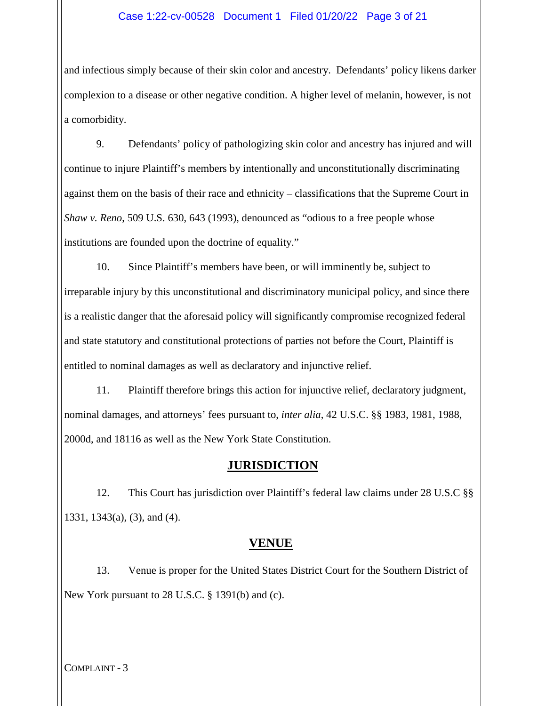and infectious simply because of their skin color and ancestry. Defendants' policy likens darker complexion to a disease or other negative condition. A higher level of melanin, however, is not a comorbidity.

9. Defendants' policy of pathologizing skin color and ancestry has injured and will continue to injure Plaintiff's members by intentionally and unconstitutionally discriminating against them on the basis of their race and ethnicity – classifications that the Supreme Court in *Shaw v. Reno*, 509 U.S. 630, 643 (1993), denounced as "odious to a free people whose institutions are founded upon the doctrine of equality."

10. Since Plaintiff's members have been, or will imminently be, subject to irreparable injury by this unconstitutional and discriminatory municipal policy, and since there is a realistic danger that the aforesaid policy will significantly compromise recognized federal and state statutory and constitutional protections of parties not before the Court, Plaintiff is entitled to nominal damages as well as declaratory and injunctive relief.

11. Plaintiff therefore brings this action for injunctive relief, declaratory judgment, nominal damages, and attorneys' fees pursuant to, *inter alia*, 42 U.S.C. §§ 1983, 1981, 1988, 2000d, and 18116 as well as the New York State Constitution.

## **JURISDICTION**

12. This Court has jurisdiction over Plaintiff's federal law claims under 28 U.S.C §§ 1331, 1343(a), (3), and (4).

## **VENUE**

13. Venue is proper for the United States District Court for the Southern District of New York pursuant to 28 U.S.C. § 1391(b) and (c).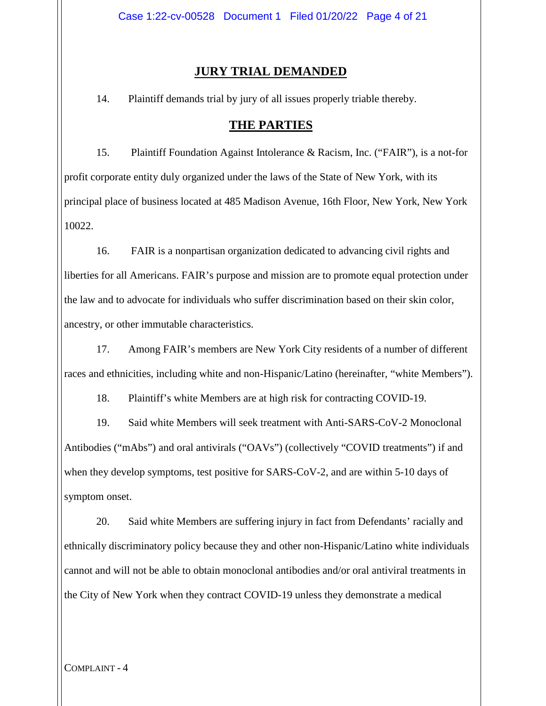#### **JURY TRIAL DEMANDED**

14. Plaintiff demands trial by jury of all issues properly triable thereby.

#### **THE PARTIES**

15. Plaintiff Foundation Against Intolerance & Racism, Inc. ("FAIR"), is a not-for profit corporate entity duly organized under the laws of the State of New York, with its principal place of business located at 485 Madison Avenue, 16th Floor, New York, New York 10022.

16. FAIR is a nonpartisan organization dedicated to advancing civil rights and liberties for all Americans. FAIR's purpose and mission are to promote equal protection under the law and to advocate for individuals who suffer discrimination based on their skin color, ancestry, or other immutable characteristics.

17. Among FAIR's members are New York City residents of a number of different races and ethnicities, including white and non-Hispanic/Latino (hereinafter, "white Members").

18. Plaintiff's white Members are at high risk for contracting COVID-19.

19. Said white Members will seek treatment with Anti-SARS-CoV-2 Monoclonal Antibodies ("mAbs") and oral antivirals ("OAVs") (collectively "COVID treatments") if and when they develop symptoms, test positive for SARS-CoV-2, and are within 5-10 days of symptom onset.

20. Said white Members are suffering injury in fact from Defendants' racially and ethnically discriminatory policy because they and other non-Hispanic/Latino white individuals cannot and will not be able to obtain monoclonal antibodies and/or oral antiviral treatments in the City of New York when they contract COVID-19 unless they demonstrate a medical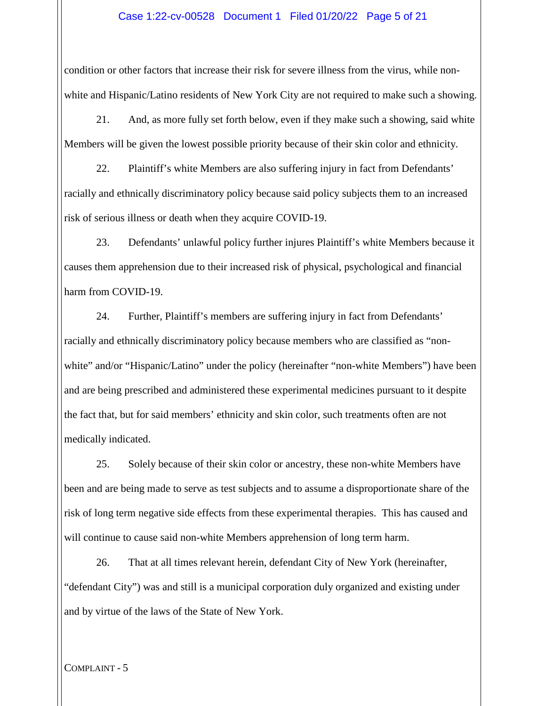#### Case 1:22-cv-00528 Document 1 Filed 01/20/22 Page 5 of 21

condition or other factors that increase their risk for severe illness from the virus, while nonwhite and Hispanic/Latino residents of New York City are not required to make such a showing.

21. And, as more fully set forth below, even if they make such a showing, said white Members will be given the lowest possible priority because of their skin color and ethnicity.

22. Plaintiff's white Members are also suffering injury in fact from Defendants' racially and ethnically discriminatory policy because said policy subjects them to an increased risk of serious illness or death when they acquire COVID-19.

23. Defendants' unlawful policy further injures Plaintiff's white Members because it causes them apprehension due to their increased risk of physical, psychological and financial harm from COVID-19.

24. Further, Plaintiff's members are suffering injury in fact from Defendants' racially and ethnically discriminatory policy because members who are classified as "nonwhite" and/or "Hispanic/Latino" under the policy (hereinafter "non-white Members") have been and are being prescribed and administered these experimental medicines pursuant to it despite the fact that, but for said members' ethnicity and skin color, such treatments often are not medically indicated.

25. Solely because of their skin color or ancestry, these non-white Members have been and are being made to serve as test subjects and to assume a disproportionate share of the risk of long term negative side effects from these experimental therapies. This has caused and will continue to cause said non-white Members apprehension of long term harm.

26. That at all times relevant herein, defendant City of New York (hereinafter, "defendant City") was and still is a municipal corporation duly organized and existing under and by virtue of the laws of the State of New York.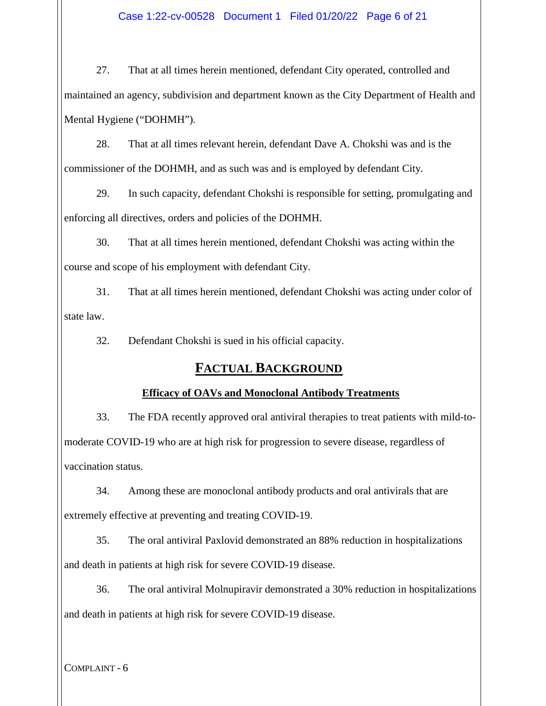27. That at all times herein mentioned, defendant City operated, controlled and maintained an agency, subdivision and department known as the City Department of Health and Mental Hygiene ("DOHMH").

28. That at all times relevant herein, defendant Dave A. Chokshi was and is the commissioner of the DOHMH, and as such was and is employed by defendant City.

29. In such capacity, defendant Chokshi is responsible for setting, promulgating and enforcing all directives, orders and policies of the DOHMH.

30. That at all times herein mentioned, defendant Chokshi was acting within the course and scope of his employment with defendant City.

31. That at all times herein mentioned, defendant Chokshi was acting under color of state law.

32. Defendant Chokshi is sued in his official capacity.

## **FACTUAL BACKGROUND**

## **Efficacy of OAVs and Monoclonal Antibody Treatments**

33. The FDA recently approved oral antiviral therapies to treat patients with mild-tomoderate COVID-19 who are at high risk for progression to severe disease, regardless of vaccination status.

34. Among these are monoclonal antibody products and oral antivirals that are extremely effective at preventing and treating COVID-19.

35. The oral antiviral Paxlovid demonstrated an 88% reduction in hospitalizations and death in patients at high risk for severe COVID-19 disease.

36. The oral antiviral Molnupiravir demonstrated a 30% reduction in hospitalizations and death in patients at high risk for severe COVID-19 disease.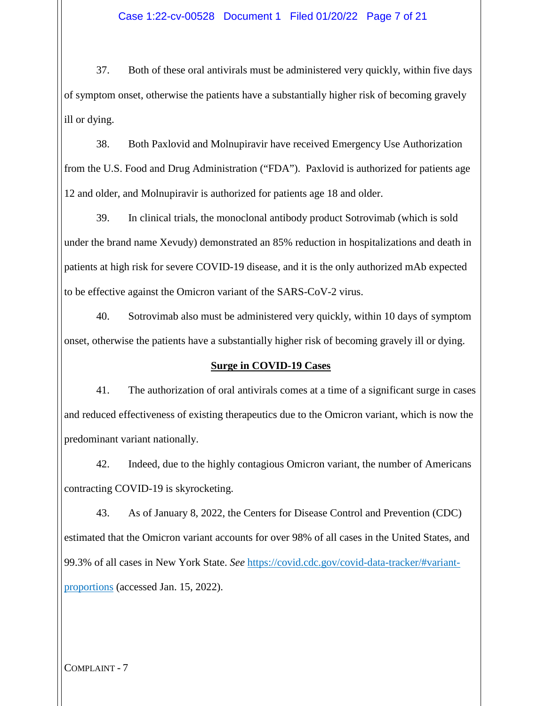37. Both of these oral antivirals must be administered very quickly, within five days of symptom onset, otherwise the patients have a substantially higher risk of becoming gravely ill or dying.

38. Both Paxlovid and Molnupiravir have received Emergency Use Authorization from the U.S. Food and Drug Administration ("FDA"). Paxlovid is authorized for patients age 12 and older, and Molnupiravir is authorized for patients age 18 and older.

39. In clinical trials, the monoclonal antibody product Sotrovimab (which is sold under the brand name Xevudy) demonstrated an 85% reduction in hospitalizations and death in patients at high risk for severe COVID-19 disease, and it is the only authorized mAb expected to be effective against the Omicron variant of the SARS-CoV-2 virus.

40. Sotrovimab also must be administered very quickly, within 10 days of symptom onset, otherwise the patients have a substantially higher risk of becoming gravely ill or dying.

#### **Surge in COVID-19 Cases**

41. The authorization of oral antivirals comes at a time of a significant surge in cases and reduced effectiveness of existing therapeutics due to the Omicron variant, which is now the predominant variant nationally.

42. Indeed, due to the highly contagious Omicron variant, the number of Americans contracting COVID-19 is skyrocketing.

43. As of January 8, 2022, the Centers for Disease Control and Prevention (CDC) estimated that the Omicron variant accounts for over 98% of all cases in the United States, and 99.3% of all cases in New York State. *See* https://covid.cdc.gov/covid-data-tracker/#variantproportions (accessed Jan. 15, 2022).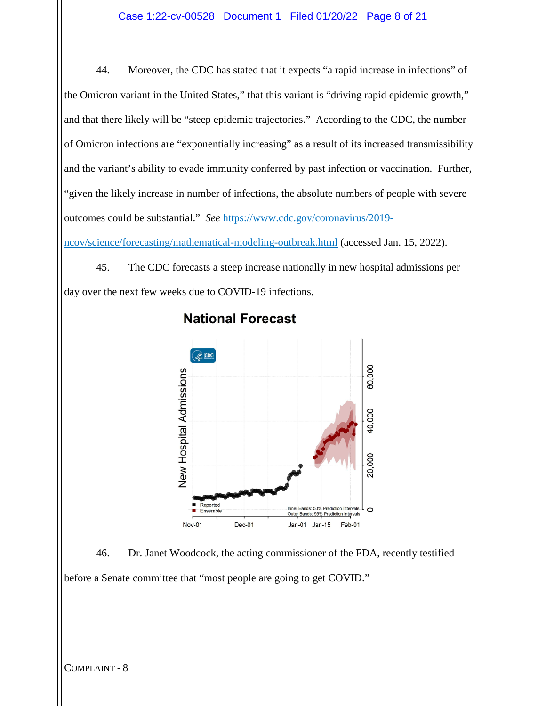44. Moreover, the CDC has stated that it expects "a rapid increase in infections" of the Omicron variant in the United States," that this variant is "driving rapid epidemic growth," and that there likely will be "steep epidemic trajectories." According to the CDC, the number of Omicron infections are "exponentially increasing" as a result of its increased transmissibility and the variant's ability to evade immunity conferred by past infection or vaccination. Further, "given the likely increase in number of infections, the absolute numbers of people with severe outcomes could be substantial." *See* https://www.cdc.gov/coronavirus/2019-

ncov/science/forecasting/mathematical-modeling-outbreak.html (accessed Jan. 15, 2022).

45. The CDC forecasts a steep increase nationally in new hospital admissions per day over the next few weeks due to COVID-19 infections.



## **National Forecast**

46. Dr. Janet Woodcock, the acting commissioner of the FDA, recently testified before a Senate committee that "most people are going to get COVID."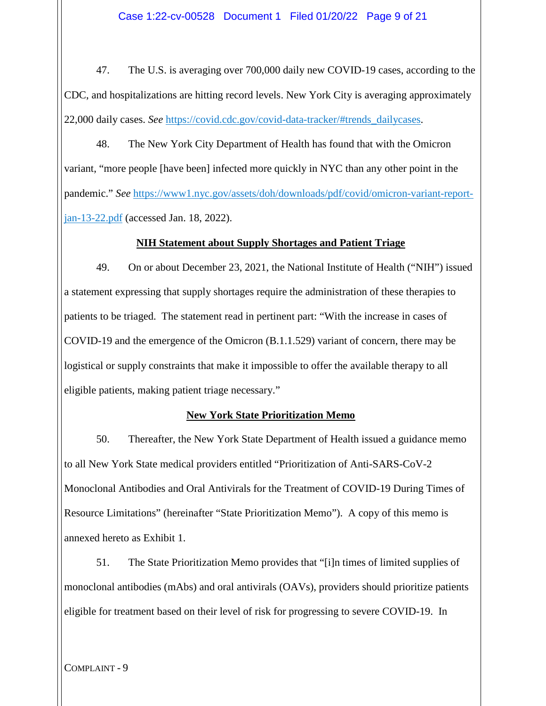47. The U.S. is averaging over 700,000 daily new COVID-19 cases, according to the CDC, and hospitalizations are hitting record levels. New York City is averaging approximately 22,000 daily cases. *See* https://covid.cdc.gov/covid-data-tracker/#trends\_dailycases.

48. The New York City Department of Health has found that with the Omicron variant, "more people [have been] infected more quickly in NYC than any other point in the pandemic." *See* https://www1.nyc.gov/assets/doh/downloads/pdf/covid/omicron-variant-reportjan-13-22.pdf (accessed Jan. 18, 2022).

#### **NIH Statement about Supply Shortages and Patient Triage**

49. On or about December 23, 2021, the National Institute of Health ("NIH") issued a statement expressing that supply shortages require the administration of these therapies to patients to be triaged. The statement read in pertinent part: "With the increase in cases of COVID-19 and the emergence of the Omicron (B.1.1.529) variant of concern, there may be logistical or supply constraints that make it impossible to offer the available therapy to all eligible patients, making patient triage necessary."

#### **New York State Prioritization Memo**

50. Thereafter, the New York State Department of Health issued a guidance memo to all New York State medical providers entitled "Prioritization of Anti-SARS-CoV-2 Monoclonal Antibodies and Oral Antivirals for the Treatment of COVID-19 During Times of Resource Limitations" (hereinafter "State Prioritization Memo"). A copy of this memo is annexed hereto as Exhibit 1.

51. The State Prioritization Memo provides that "[i]n times of limited supplies of monoclonal antibodies (mAbs) and oral antivirals (OAVs), providers should prioritize patients eligible for treatment based on their level of risk for progressing to severe COVID-19. In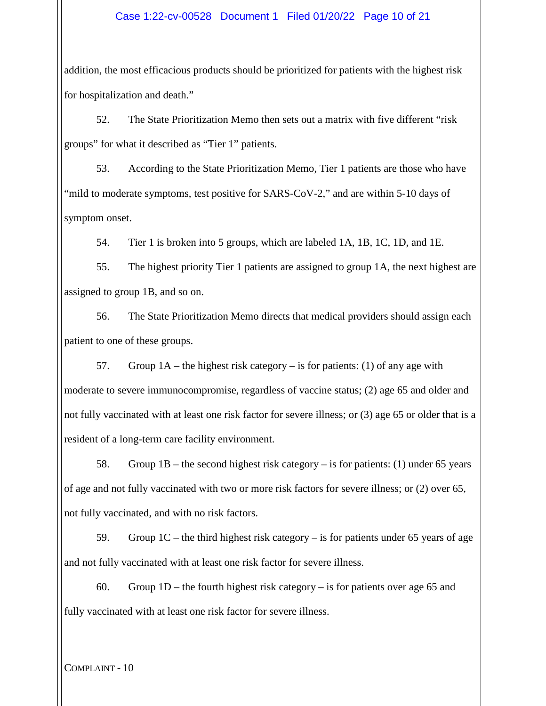#### Case 1:22-cv-00528 Document 1 Filed 01/20/22 Page 10 of 21

addition, the most efficacious products should be prioritized for patients with the highest risk for hospitalization and death."

52. The State Prioritization Memo then sets out a matrix with five different "risk groups" for what it described as "Tier 1" patients.

53. According to the State Prioritization Memo, Tier 1 patients are those who have "mild to moderate symptoms, test positive for SARS-CoV-2," and are within 5-10 days of symptom onset.

54. Tier 1 is broken into 5 groups, which are labeled 1A, 1B, 1C, 1D, and 1E.

55. The highest priority Tier 1 patients are assigned to group 1A, the next highest are assigned to group 1B, and so on.

56. The State Prioritization Memo directs that medical providers should assign each patient to one of these groups.

57. Group  $1A$  – the highest risk category – is for patients: (1) of any age with moderate to severe immunocompromise, regardless of vaccine status; (2) age 65 and older and not fully vaccinated with at least one risk factor for severe illness; or (3) age 65 or older that is a resident of a long-term care facility environment.

58. Group 1B – the second highest risk category – is for patients: (1) under 65 years of age and not fully vaccinated with two or more risk factors for severe illness; or (2) over 65, not fully vaccinated, and with no risk factors.

59. Group 1C – the third highest risk category – is for patients under 65 years of age and not fully vaccinated with at least one risk factor for severe illness.

60. Group 1D – the fourth highest risk category – is for patients over age 65 and fully vaccinated with at least one risk factor for severe illness.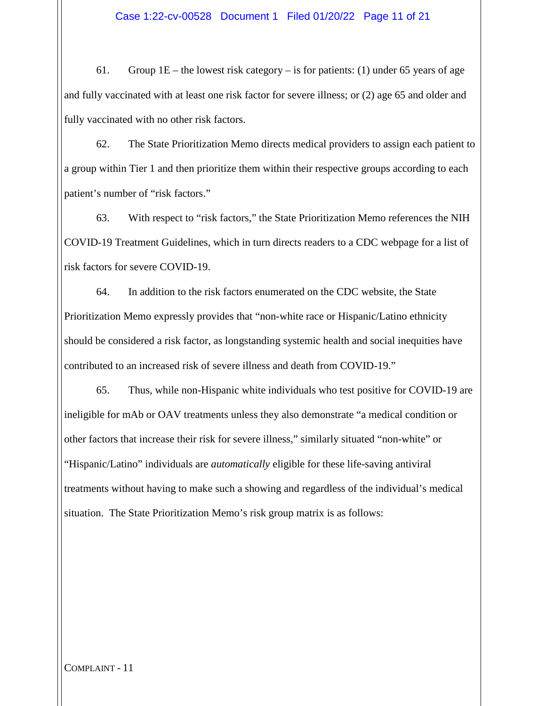61. Group  $1E$  – the lowest risk category – is for patients: (1) under 65 years of age and fully vaccinated with at least one risk factor for severe illness; or (2) age 65 and older and fully vaccinated with no other risk factors.

62. The State Prioritization Memo directs medical providers to assign each patient to a group within Tier 1 and then prioritize them within their respective groups according to each patient's number of "risk factors."

63. With respect to "risk factors," the State Prioritization Memo references the NIH COVID-19 Treatment Guidelines, which in turn directs readers to a CDC webpage for a list of risk factors for severe COVID-19.

64. In addition to the risk factors enumerated on the CDC website, the State Prioritization Memo expressly provides that "non-white race or Hispanic/Latino ethnicity should be considered a risk factor, as longstanding systemic health and social inequities have contributed to an increased risk of severe illness and death from COVID-19."

65. Thus, while non-Hispanic white individuals who test positive for COVID-19 are ineligible for mAb or OAV treatments unless they also demonstrate "a medical condition or other factors that increase their risk for severe illness," similarly situated "non-white" or "Hispanic/Latino" individuals are *automatically* eligible for these life-saving antiviral treatments without having to make such a showing and regardless of the individual's medical situation. The State Prioritization Memo's risk group matrix is as follows: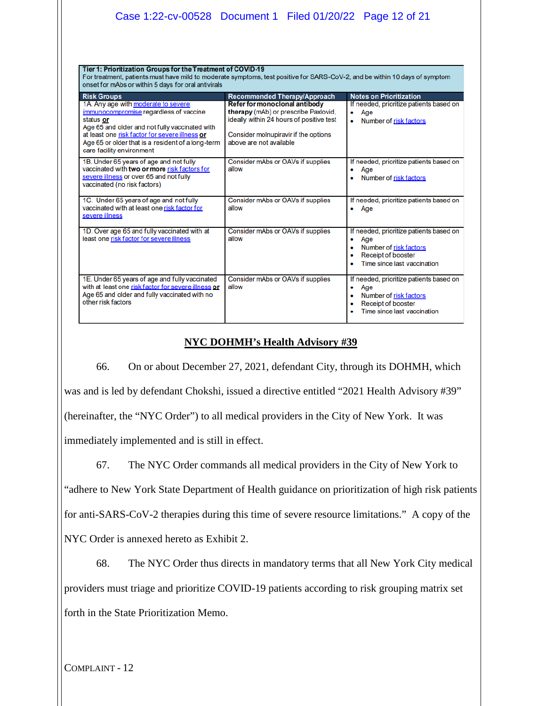|                                                                                                                                                                                                                                                                                  | Case 1:22-cv-00528 Document 1 Filed 01/20/22 Page 12 of 21                                                                                                                           |                                                                                                                                                 |  |
|----------------------------------------------------------------------------------------------------------------------------------------------------------------------------------------------------------------------------------------------------------------------------------|--------------------------------------------------------------------------------------------------------------------------------------------------------------------------------------|-------------------------------------------------------------------------------------------------------------------------------------------------|--|
| Tier 1: Prioritization Groups for the Treatment of COVID-19<br>For treatment, patients must have mild to moderate symptoms, test positive for SARS-CoV-2, and be within 10 days of symptom<br>onset for mAbs or within 5 days for oral antivirals                                |                                                                                                                                                                                      |                                                                                                                                                 |  |
| <b>Risk Groups</b>                                                                                                                                                                                                                                                               | <b>Recommended Therapy/Approach</b>                                                                                                                                                  | <b>Notes on Prioritization</b>                                                                                                                  |  |
| 1A. Any age with moderate to severe<br>immunocompromise regardless of vaccine<br>status or<br>Age 65 and older and not fully vaccinated with<br>at least one risk factor for severe illness or<br>Age 65 or older that is a resident of a long-term<br>care facility environment | Refer for monoclonal antibody<br>therapy (mAb) or prescribe Paxlovid,<br>ideally within 24 hours of positive test<br>Consider molnupiravir if the options<br>above are not available | If needed, prioritize patients based on<br>Age<br>۰<br>Number of risk factors<br>$\bullet$                                                      |  |
| 1B. Under 65 years of age and not fully<br>vaccinated with two or more risk factors for<br>severe illness or over 65 and not fully<br>vaccinated (no risk factors)                                                                                                               | Consider mAbs or OAVs if supplies<br>allow                                                                                                                                           | If needed, prioritize patients based on<br>Age<br>۰<br>Number of risk factors                                                                   |  |
| 1C. Under 65 years of age and not fully<br>vaccinated with at least one risk factor for<br>severe illness                                                                                                                                                                        | Consider mAbs or OAVs if supplies<br>allow                                                                                                                                           | If needed, prioritize patients based on<br>$\bullet$ Age                                                                                        |  |
| 1D. Over age 65 and fully vaccinated with at<br>least one risk factor for severe illness                                                                                                                                                                                         | Consider mAbs or OAVs if supplies<br>allow                                                                                                                                           | If needed, prioritize patients based on<br>Age<br>٠<br>Number of risk factors<br>$\bullet$<br>Receipt of booster<br>Time since last vaccination |  |
| 1E. Under 65 years of age and fully vaccinated<br>with at least one risk factor for severe illness or<br>Age 65 and older and fully vaccinated with no<br>other risk factors                                                                                                     | Consider mAbs or OAVs if supplies<br>allow                                                                                                                                           | If needed, prioritize patients based on<br>Age<br>۰<br>Number of risk factors<br>$\bullet$<br>Receipt of booster<br>Time since last vaccination |  |

## **NYC DOHMH's Health Advisory #39**

66. On or about December 27, 2021, defendant City, through its DOHMH, which was and is led by defendant Chokshi, issued a directive entitled "2021 Health Advisory #39" (hereinafter, the "NYC Order") to all medical providers in the City of New York. It was immediately implemented and is still in effect.

67. The NYC Order commands all medical providers in the City of New York to "adhere to New York State Department of Health guidance on prioritization of high risk patients for anti-SARS-CoV-2 therapies during this time of severe resource limitations." A copy of the NYC Order is annexed hereto as Exhibit 2.

68. The NYC Order thus directs in mandatory terms that all New York City medical providers must triage and prioritize COVID-19 patients according to risk grouping matrix set forth in the State Prioritization Memo.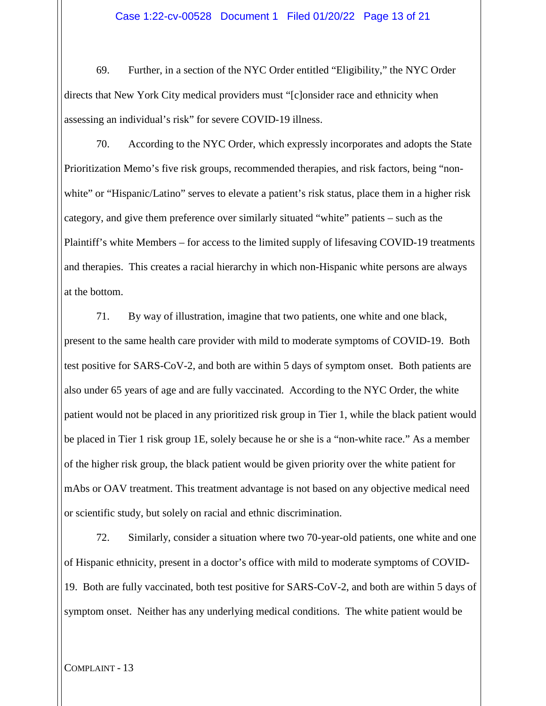69. Further, in a section of the NYC Order entitled "Eligibility," the NYC Order directs that New York City medical providers must "[c]onsider race and ethnicity when assessing an individual's risk" for severe COVID-19 illness.

70. According to the NYC Order, which expressly incorporates and adopts the State Prioritization Memo's five risk groups, recommended therapies, and risk factors, being "nonwhite" or "Hispanic/Latino" serves to elevate a patient's risk status, place them in a higher risk category, and give them preference over similarly situated "white" patients – such as the Plaintiff's white Members – for access to the limited supply of lifesaving COVID-19 treatments and therapies. This creates a racial hierarchy in which non-Hispanic white persons are always at the bottom.

71. By way of illustration, imagine that two patients, one white and one black, present to the same health care provider with mild to moderate symptoms of COVID-19. Both test positive for SARS-CoV-2, and both are within 5 days of symptom onset. Both patients are also under 65 years of age and are fully vaccinated. According to the NYC Order, the white patient would not be placed in any prioritized risk group in Tier 1, while the black patient would be placed in Tier 1 risk group 1E, solely because he or she is a "non-white race." As a member of the higher risk group, the black patient would be given priority over the white patient for mAbs or OAV treatment. This treatment advantage is not based on any objective medical need or scientific study, but solely on racial and ethnic discrimination.

72. Similarly, consider a situation where two 70-year-old patients, one white and one of Hispanic ethnicity, present in a doctor's office with mild to moderate symptoms of COVID-19. Both are fully vaccinated, both test positive for SARS-CoV-2, and both are within 5 days of symptom onset. Neither has any underlying medical conditions. The white patient would be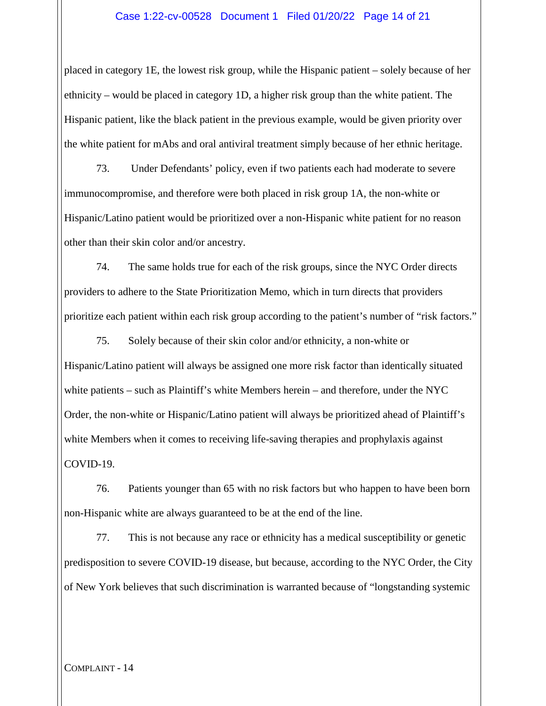#### Case 1:22-cv-00528 Document 1 Filed 01/20/22 Page 14 of 21

placed in category 1E, the lowest risk group, while the Hispanic patient – solely because of her ethnicity – would be placed in category 1D, a higher risk group than the white patient. The Hispanic patient, like the black patient in the previous example, would be given priority over the white patient for mAbs and oral antiviral treatment simply because of her ethnic heritage.

73. Under Defendants' policy, even if two patients each had moderate to severe immunocompromise, and therefore were both placed in risk group 1A, the non-white or Hispanic/Latino patient would be prioritized over a non-Hispanic white patient for no reason other than their skin color and/or ancestry.

74. The same holds true for each of the risk groups, since the NYC Order directs providers to adhere to the State Prioritization Memo, which in turn directs that providers prioritize each patient within each risk group according to the patient's number of "risk factors."

75. Solely because of their skin color and/or ethnicity, a non-white or Hispanic/Latino patient will always be assigned one more risk factor than identically situated white patients – such as Plaintiff's white Members herein – and therefore, under the NYC Order, the non-white or Hispanic/Latino patient will always be prioritized ahead of Plaintiff's white Members when it comes to receiving life-saving therapies and prophylaxis against COVID-19.

76. Patients younger than 65 with no risk factors but who happen to have been born non-Hispanic white are always guaranteed to be at the end of the line.

77. This is not because any race or ethnicity has a medical susceptibility or genetic predisposition to severe COVID-19 disease, but because, according to the NYC Order, the City of New York believes that such discrimination is warranted because of "longstanding systemic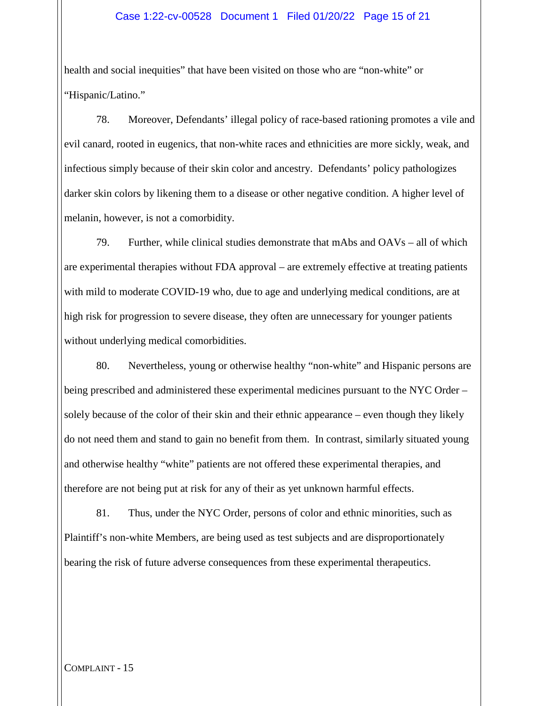#### Case 1:22-cv-00528 Document 1 Filed 01/20/22 Page 15 of 21

health and social inequities" that have been visited on those who are "non-white" or "Hispanic/Latino."

78. Moreover, Defendants' illegal policy of race-based rationing promotes a vile and evil canard, rooted in eugenics, that non-white races and ethnicities are more sickly, weak, and infectious simply because of their skin color and ancestry. Defendants' policy pathologizes darker skin colors by likening them to a disease or other negative condition. A higher level of melanin, however, is not a comorbidity.

79. Further, while clinical studies demonstrate that mAbs and OAVs – all of which are experimental therapies without FDA approval – are extremely effective at treating patients with mild to moderate COVID-19 who, due to age and underlying medical conditions, are at high risk for progression to severe disease, they often are unnecessary for younger patients without underlying medical comorbidities.

80. Nevertheless, young or otherwise healthy "non-white" and Hispanic persons are being prescribed and administered these experimental medicines pursuant to the NYC Order – solely because of the color of their skin and their ethnic appearance – even though they likely do not need them and stand to gain no benefit from them. In contrast, similarly situated young and otherwise healthy "white" patients are not offered these experimental therapies, and therefore are not being put at risk for any of their as yet unknown harmful effects.

81. Thus, under the NYC Order, persons of color and ethnic minorities, such as Plaintiff's non-white Members, are being used as test subjects and are disproportionately bearing the risk of future adverse consequences from these experimental therapeutics.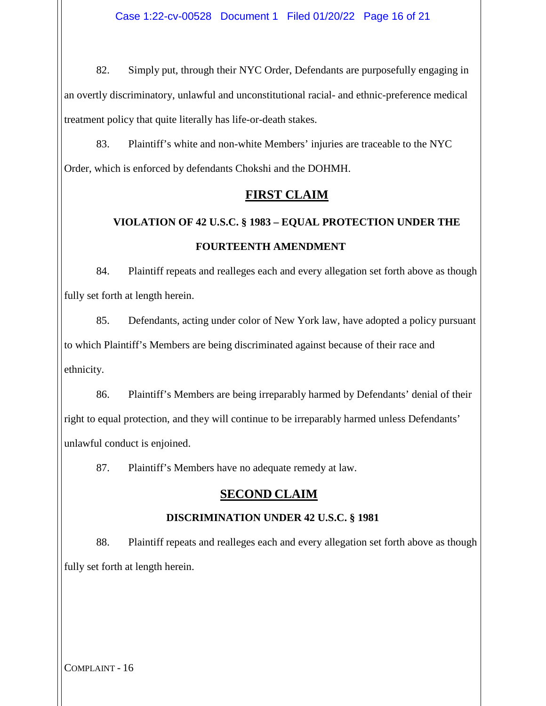82. Simply put, through their NYC Order, Defendants are purposefully engaging in an overtly discriminatory, unlawful and unconstitutional racial- and ethnic-preference medical treatment policy that quite literally has life-or-death stakes.

83. Plaintiff's white and non-white Members' injuries are traceable to the NYC Order, which is enforced by defendants Chokshi and the DOHMH.

### **FIRST CLAIM**

# **VIOLATION OF 42 U.S.C. § 1983 – EQUAL PROTECTION UNDER THE FOURTEENTH AMENDMENT**

84. Plaintiff repeats and realleges each and every allegation set forth above as though fully set forth at length herein.

85. Defendants, acting under color of New York law, have adopted a policy pursuant to which Plaintiff's Members are being discriminated against because of their race and ethnicity.

86. Plaintiff's Members are being irreparably harmed by Defendants' denial of their right to equal protection, and they will continue to be irreparably harmed unless Defendants' unlawful conduct is enjoined.

87. Plaintiff's Members have no adequate remedy at law.

## **SECOND CLAIM**

#### **DISCRIMINATION UNDER 42 U.S.C. § 1981**

88. Plaintiff repeats and realleges each and every allegation set forth above as though fully set forth at length herein.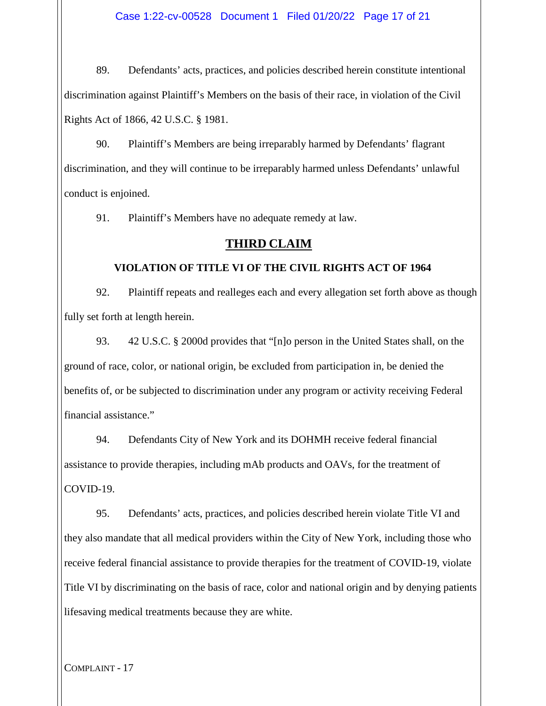Case 1:22-cv-00528 Document 1 Filed 01/20/22 Page 17 of 21

89. Defendants' acts, practices, and policies described herein constitute intentional discrimination against Plaintiff's Members on the basis of their race, in violation of the Civil Rights Act of 1866, 42 U.S.C. § 1981.

90. Plaintiff's Members are being irreparably harmed by Defendants' flagrant discrimination, and they will continue to be irreparably harmed unless Defendants' unlawful conduct is enjoined.

91. Plaintiff's Members have no adequate remedy at law.

#### **THIRD CLAIM**

#### **VIOLATION OF TITLE VI OF THE CIVIL RIGHTS ACT OF 1964**

92. Plaintiff repeats and realleges each and every allegation set forth above as though fully set forth at length herein.

93. 42 U.S.C. § 2000d provides that "[n]o person in the United States shall, on the ground of race, color, or national origin, be excluded from participation in, be denied the benefits of, or be subjected to discrimination under any program or activity receiving Federal financial assistance."

94. Defendants City of New York and its DOHMH receive federal financial assistance to provide therapies, including mAb products and OAVs, for the treatment of COVID-19.

95. Defendants' acts, practices, and policies described herein violate Title VI and they also mandate that all medical providers within the City of New York, including those who receive federal financial assistance to provide therapies for the treatment of COVID-19, violate Title VI by discriminating on the basis of race, color and national origin and by denying patients lifesaving medical treatments because they are white.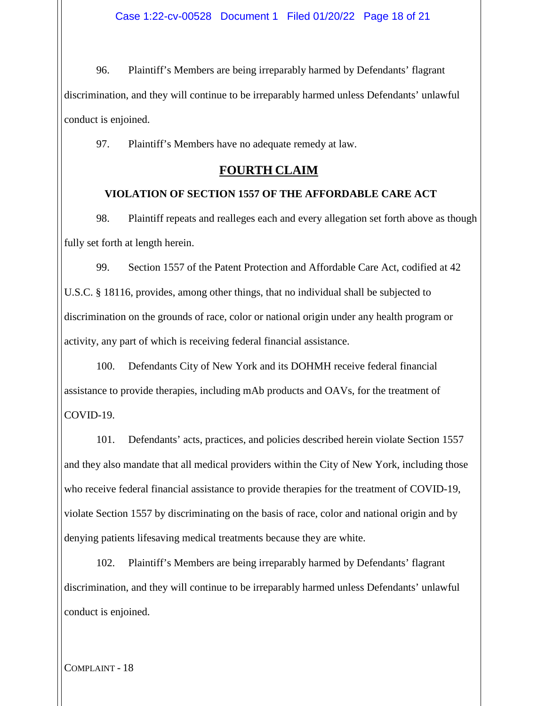96. Plaintiff's Members are being irreparably harmed by Defendants' flagrant discrimination, and they will continue to be irreparably harmed unless Defendants' unlawful conduct is enjoined.

97. Plaintiff's Members have no adequate remedy at law.

## **FOURTH CLAIM**

#### **VIOLATION OF SECTION 1557 OF THE AFFORDABLE CARE ACT**

98. Plaintiff repeats and realleges each and every allegation set forth above as though fully set forth at length herein.

99. Section 1557 of the Patent Protection and Affordable Care Act, codified at 42 U.S.C. § 18116, provides, among other things, that no individual shall be subjected to discrimination on the grounds of race, color or national origin under any health program or activity, any part of which is receiving federal financial assistance.

100. Defendants City of New York and its DOHMH receive federal financial assistance to provide therapies, including mAb products and OAVs, for the treatment of COVID-19.

101. Defendants' acts, practices, and policies described herein violate Section 1557 and they also mandate that all medical providers within the City of New York, including those who receive federal financial assistance to provide therapies for the treatment of COVID-19, violate Section 1557 by discriminating on the basis of race, color and national origin and by denying patients lifesaving medical treatments because they are white.

102. Plaintiff's Members are being irreparably harmed by Defendants' flagrant discrimination, and they will continue to be irreparably harmed unless Defendants' unlawful conduct is enjoined.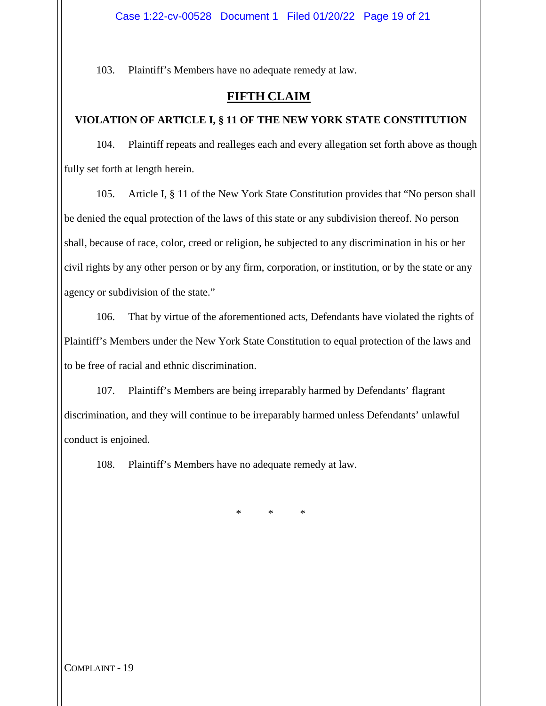103. Plaintiff's Members have no adequate remedy at law.

## **FIFTH CLAIM**

#### **VIOLATION OF ARTICLE I, § 11 OF THE NEW YORK STATE CONSTITUTION**

104. Plaintiff repeats and realleges each and every allegation set forth above as though fully set forth at length herein.

105. Article I, § 11 of the New York State Constitution provides that "No person shall be denied the equal protection of the laws of this state or any subdivision thereof. No person shall, because of race, color, creed or religion, be subjected to any discrimination in his or her civil rights by any other person or by any firm, corporation, or institution, or by the state or any agency or subdivision of the state."

106. That by virtue of the aforementioned acts, Defendants have violated the rights of Plaintiff's Members under the New York State Constitution to equal protection of the laws and to be free of racial and ethnic discrimination.

107. Plaintiff's Members are being irreparably harmed by Defendants' flagrant discrimination, and they will continue to be irreparably harmed unless Defendants' unlawful conduct is enjoined.

108. Plaintiff's Members have no adequate remedy at law.

\* \* \*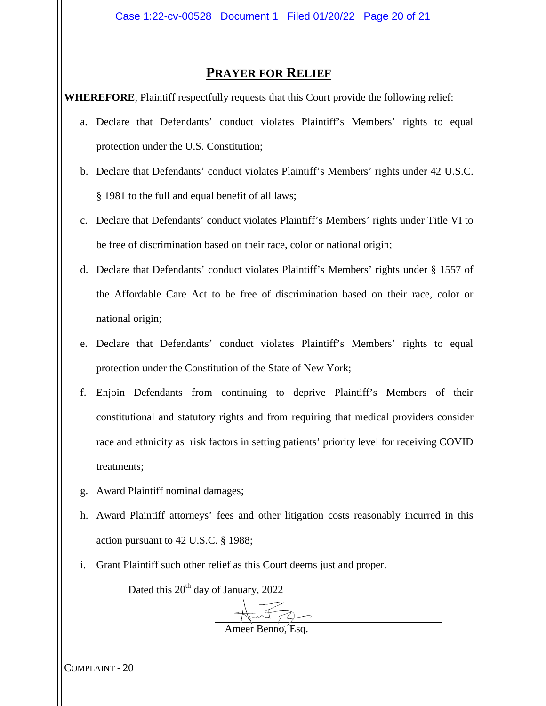## **PRAYER FOR RELIEF**

**WHEREFORE**, Plaintiff respectfully requests that this Court provide the following relief:

- a. Declare that Defendants' conduct violates Plaintiff's Members' rights to equal protection under the U.S. Constitution;
- b. Declare that Defendants' conduct violates Plaintiff's Members' rights under 42 U.S.C. § 1981 to the full and equal benefit of all laws;
- c. Declare that Defendants' conduct violates Plaintiff's Members' rights under Title VI to be free of discrimination based on their race, color or national origin;
- d. Declare that Defendants' conduct violates Plaintiff's Members' rights under § 1557 of the Affordable Care Act to be free of discrimination based on their race, color or national origin;
- e. Declare that Defendants' conduct violates Plaintiff's Members' rights to equal protection under the Constitution of the State of New York;
- f. Enjoin Defendants from continuing to deprive Plaintiff's Members of their constitutional and statutory rights and from requiring that medical providers consider race and ethnicity as risk factors in setting patients' priority level for receiving COVID treatments;
- g. Award Plaintiff nominal damages;
- h. Award Plaintiff attorneys' fees and other litigation costs reasonably incurred in this action pursuant to 42 U.S.C. § 1988;
- i. Grant Plaintiff such other relief as this Court deems just and proper.

Dated this  $20^{th}$  day of January, 2022

Ameer Benno, Esq.